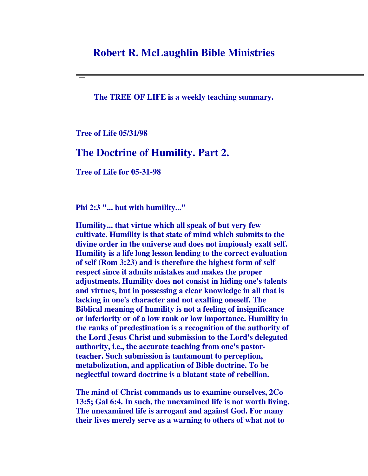## **Robert R. McLaughlin Bible Ministries**

**The TREE OF LIFE is a weekly teaching summary.**

**Tree of Life 05/31/98**

## **The Doctrine of Humility. Part 2.**

**Tree of Life for 05-31-98**

**Phi 2:3 "... but with humility..."**

**Humility... that virtue which all speak of but very few cultivate. Humility is that state of mind which submits to the divine order in the universe and does not impiously exalt self. Humility is a life long lesson lending to the correct evaluation of self (Rom 3:23) and is therefore the highest form of self respect since it admits mistakes and makes the proper adjustments. Humility does not consist in hiding one's talents and virtues, but in possessing a clear knowledge in all that is lacking in one's character and not exalting oneself. The Biblical meaning of humility is not a feeling of insignificance or inferiority or of a low rank or low importance. Humility in the ranks of predestination is a recognition of the authority of the Lord Jesus Christ and submission to the Lord's delegated authority, i.e., the accurate teaching from one's pastorteacher. Such submission is tantamount to perception, metabolization, and application of Bible doctrine. To be neglectful toward doctrine is a blatant state of rebellion.**

**The mind of Christ commands us to examine ourselves, 2Co 13:5; Gal 6:4. In such, the unexamined life is not worth living. The unexamined life is arrogant and against God. For many their lives merely serve as a warning to others of what not to**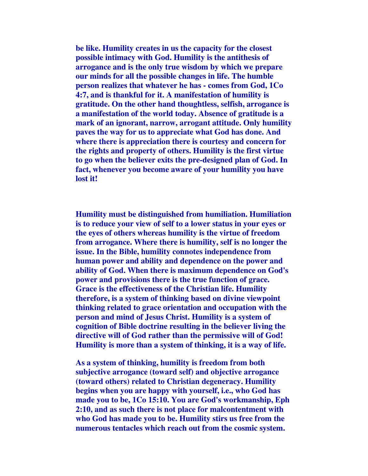**be like. Humility creates in us the capacity for the closest possible intimacy with God. Humility is the antithesis of arrogance and is the only true wisdom by which we prepare our minds for all the possible changes in life. The humble person realizes that whatever he has - comes from God, 1Co 4:7, and is thankful for it. A manifestation of humility is gratitude. On the other hand thoughtless, selfish, arrogance is a manifestation of the world today. Absence of gratitude is a mark of an ignorant, narrow, arrogant attitude. Only humility paves the way for us to appreciate what God has done. And where there is appreciation there is courtesy and concern for the rights and property of others. Humility is the first virtue to go when the believer exits the pre-designed plan of God. In fact, whenever you become aware of your humility you have lost it!**

**Humility must be distinguished from humiliation. Humiliation is to reduce your view of self to a lower status in your eyes or the eyes of others whereas humility is the virtue of freedom from arrogance. Where there is humility, self is no longer the issue. In the Bible, humility connotes independence from human power and ability and dependence on the power and ability of God. When there is maximum dependence on God's power and provisions there is the true function of grace. Grace is the effectiveness of the Christian life. Humility therefore, is a system of thinking based on divine viewpoint thinking related to grace orientation and occupation with the person and mind of Jesus Christ. Humility is a system of cognition of Bible doctrine resulting in the believer living the directive will of God rather than the permissive will of God! Humility is more than a system of thinking, it is a way of life.**

**As a system of thinking, humility is freedom from both subjective arrogance (toward self) and objective arrogance (toward others) related to Christian degeneracy. Humility begins when you are happy with yourself, i.e., who God has made you to be, 1Co 15:10. You are God's workmanship, Eph 2:10, and as such there is not place for malcontentment with who God has made you to be. Humility stirs us free from the numerous tentacles which reach out from the cosmic system.**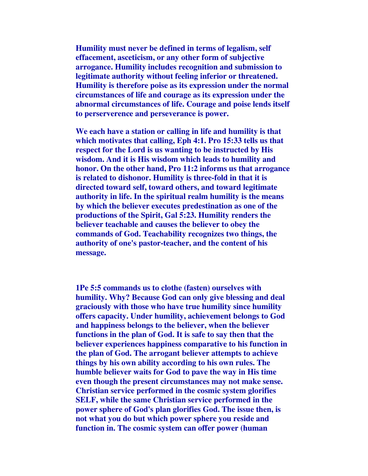**Humility must never be defined in terms of legalism, self effacement, asceticism, or any other form of subjective arrogance. Humility includes recognition and submission to legitimate authority without feeling inferior or threatened. Humility is therefore poise as its expression under the normal circumstances of life and courage as its expression under the abnormal circumstances of life. Courage and poise lends itself to perserverence and perseverance is power.**

**We each have a station or calling in life and humility is that which motivates that calling, Eph 4:1. Pro 15:33 tells us that respect for the Lord is us wanting to be instructed by His wisdom. And it is His wisdom which leads to humility and honor. On the other hand, Pro 11:2 informs us that arrogance is related to dishonor. Humility is three-fold in that it is directed toward self, toward others, and toward legitimate authority in life. In the spiritual realm humility is the means by which the believer executes predestination as one of the productions of the Spirit, Gal 5:23. Humility renders the believer teachable and causes the believer to obey the commands of God. Teachability recognizes two things, the authority of one's pastor-teacher, and the content of his message.**

**1Pe 5:5 commands us to clothe (fasten) ourselves with humility. Why? Because God can only give blessing and deal graciously with those who have true humility since humility offers capacity. Under humility, achievement belongs to God and happiness belongs to the believer, when the believer functions in the plan of God. It is safe to say then that the believer experiences happiness comparative to his function in the plan of God. The arrogant believer attempts to achieve things by his own ability according to his own rules. The humble believer waits for God to pave the way in His time even though the present circumstances may not make sense. Christian service performed in the cosmic system glorifies SELF, while the same Christian service performed in the power sphere of God's plan glorifies God. The issue then, is not what you do but which power sphere you reside and function in. The cosmic system can offer power (human**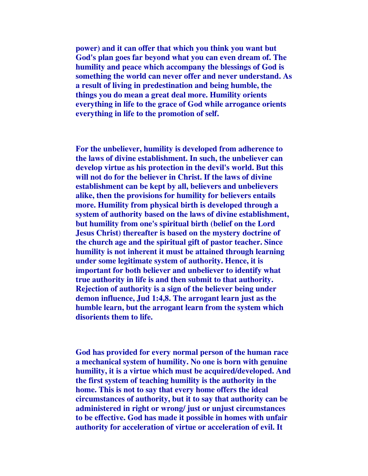**power) and it can offer that which you think you want but God's plan goes far beyond what you can even dream of. The humility and peace which accompany the blessings of God is something the world can never offer and never understand. As a result of living in predestination and being humble, the things you do mean a great deal more. Humility orients everything in life to the grace of God while arrogance orients everything in life to the promotion of self.**

**For the unbeliever, humility is developed from adherence to the laws of divine establishment. In such, the unbeliever can develop virtue as his protection in the devil's world. But this will not do for the believer in Christ. If the laws of divine establishment can be kept by all, believers and unbelievers alike, then the provisions for humility for believers entails more. Humility from physical birth is developed through a system of authority based on the laws of divine establishment, but humility from one's spiritual birth (belief on the Lord Jesus Christ) thereafter is based on the mystery doctrine of the church age and the spiritual gift of pastor teacher. Since humility is not inherent it must be attained through learning under some legitimate system of authority. Hence, it is important for both believer and unbeliever to identify what true authority in life is and then submit to that authority. Rejection of authority is a sign of the believer being under demon influence, Jud 1:4,8. The arrogant learn just as the humble learn, but the arrogant learn from the system which disorients them to life.**

**God has provided for every normal person of the human race a mechanical system of humility. No one is born with genuine humility, it is a virtue which must be acquired/developed. And the first system of teaching humility is the authority in the home. This is not to say that every home offers the ideal circumstances of authority, but it to say that authority can be administered in right or wrong/ just or unjust circumstances to be effective. God has made it possible in homes with unfair authority for acceleration of virtue or acceleration of evil. It**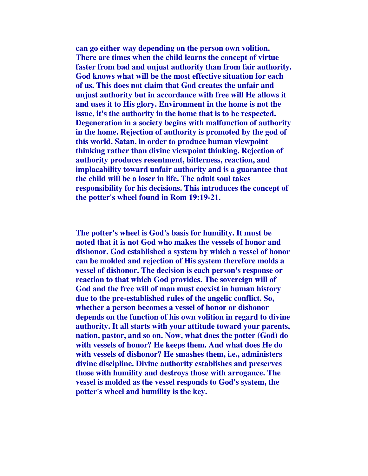**can go either way depending on the person own volition. There are times when the child learns the concept of virtue faster from bad and unjust authority than from fair authority. God knows what will be the most effective situation for each of us. This does not claim that God creates the unfair and unjust authority but in accordance with free will He allows it and uses it to His glory. Environment in the home is not the issue, it's the authority in the home that is to be respected. Degeneration in a society begins with malfunction of authority in the home. Rejection of authority is promoted by the god of this world, Satan, in order to produce human viewpoint thinking rather than divine viewpoint thinking. Rejection of authority produces resentment, bitterness, reaction, and implacability toward unfair authority and is a guarantee that the child will be a loser in life. The adult soul takes responsibility for his decisions. This introduces the concept of the potter's wheel found in Rom 19:19-21.**

**The potter's wheel is God's basis for humility. It must be noted that it is not God who makes the vessels of honor and dishonor. God established a system by which a vessel of honor can be molded and rejection of His system therefore molds a vessel of dishonor. The decision is each person's response or reaction to that which God provides. The sovereign will of God and the free will of man must coexist in human history due to the pre-established rules of the angelic conflict. So, whether a person becomes a vessel of honor or dishonor depends on the function of his own volition in regard to divine authority. It all starts with your attitude toward your parents, nation, pastor, and so on. Now, what does the potter (God) do with vessels of honor? He keeps them. And what does He do with vessels of dishonor? He smashes them, i.e., administers divine discipline. Divine authority establishes and preserves those with humility and destroys those with arrogance. The vessel is molded as the vessel responds to God's system, the potter's wheel and humility is the key.**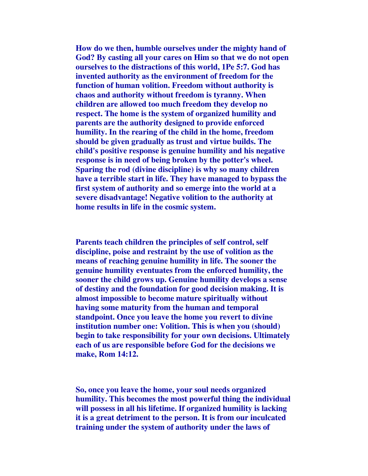**How do we then, humble ourselves under the mighty hand of God? By casting all your cares on Him so that we do not open ourselves to the distractions of this world, 1Pe 5:7. God has invented authority as the environment of freedom for the function of human volition. Freedom without authority is chaos and authority without freedom is tyranny. When children are allowed too much freedom they develop no respect. The home is the system of organized humility and parents are the authority designed to provide enforced humility. In the rearing of the child in the home, freedom should be given gradually as trust and virtue builds. The child's positive response is genuine humility and his negative response is in need of being broken by the potter's wheel. Sparing the rod (divine discipline) is why so many children have a terrible start in life. They have managed to bypass the first system of authority and so emerge into the world at a severe disadvantage! Negative volition to the authority at home results in life in the cosmic system.**

**Parents teach children the principles of self control, self discipline, poise and restraint by the use of volition as the means of reaching genuine humility in life. The sooner the genuine humility eventuates from the enforced humility, the sooner the child grows up. Genuine humility develops a sense of destiny and the foundation for good decision making. It is almost impossible to become mature spiritually without having some maturity from the human and temporal standpoint. Once you leave the home you revert to divine institution number one: Volition. This is when you (should) begin to take responsibility for your own decisions. Ultimately each of us are responsible before God for the decisions we make, Rom 14:12.**

**So, once you leave the home, your soul needs organized humility. This becomes the most powerful thing the individual will possess in all his lifetime. If organized humility is lacking it is a great detriment to the person. It is from our inculcated training under the system of authority under the laws of**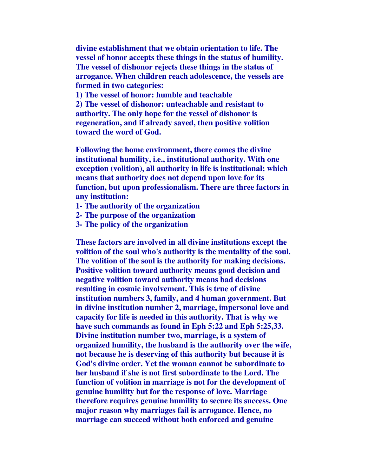**divine establishment that we obtain orientation to life. The vessel of honor accepts these things in the status of humility. The vessel of dishonor rejects these things in the status of arrogance. When children reach adolescence, the vessels are formed in two categories:**

**1) The vessel of honor: humble and teachable 2) The vessel of dishonor: unteachable and resistant to authority. The only hope for the vessel of dishonor is regeneration, and if already saved, then positive volition toward the word of God.**

**Following the home environment, there comes the divine institutional humility, i.e., institutional authority. With one exception (volition), all authority in life is institutional; which means that authority does not depend upon love for its function, but upon professionalism. There are three factors in any institution:**

- **1- The authority of the organization**
- **2- The purpose of the organization**
- **3- The policy of the organization**

**These factors are involved in all divine institutions except the volition of the soul who's authority is the mentality of the soul. The volition of the soul is the authority for making decisions. Positive volition toward authority means good decision and negative volition toward authority means bad decisions resulting in cosmic involvement. This is true of divine institution numbers 3, family, and 4 human government. But in divine institution number 2, marriage, impersonal love and capacity for life is needed in this authority. That is why we have such commands as found in Eph 5:22 and Eph 5:25,33. Divine institution number two, marriage, is a system of organized humility, the husband is the authority over the wife, not because he is deserving of this authority but because it is God's divine order. Yet the woman cannot be subordinate to her husband if she is not first subordinate to the Lord. The function of volition in marriage is not for the development of genuine humility but for the response of love. Marriage therefore requires genuine humility to secure its success. One major reason why marriages fail is arrogance. Hence, no marriage can succeed without both enforced and genuine**